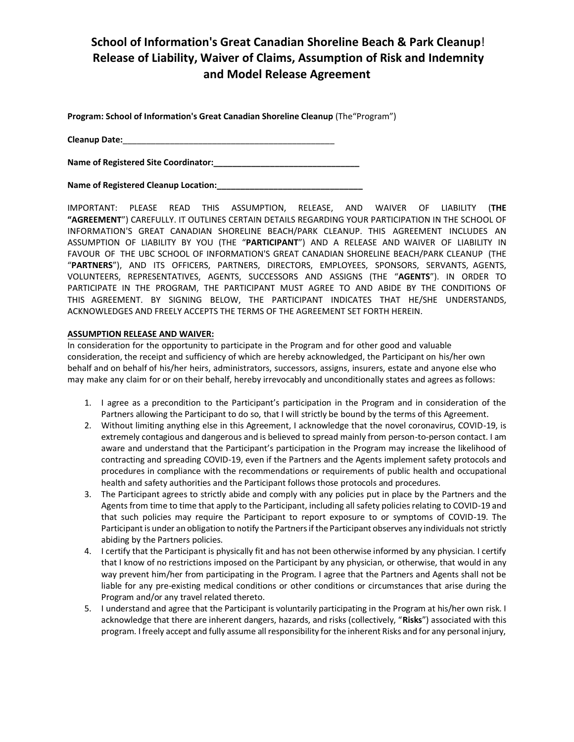## **School of Information's Great Canadian Shoreline Beach & Park Cleanup**! **Release of Liability, Waiver of Claims, Assumption of Risk and Indemnity and Model Release Agreement**

**Program: School of Information's Great Canadian Shoreline Cleanup** (The"Program")

**Cleanup Date:**\_\_\_\_\_\_\_\_\_\_\_\_\_\_\_\_\_\_\_\_\_\_\_\_\_\_\_\_\_\_\_\_\_\_\_\_\_\_\_\_\_\_\_\_\_

**Name of Registered Site Coordinator:\_\_\_\_\_\_\_\_\_\_\_\_\_\_\_\_\_\_\_\_\_\_\_\_\_\_\_\_\_\_\_** 

Name of Registered Cleanup Location:\_\_\_\_\_\_\_\_\_

IMPORTANT: PLEASE READ THIS ASSUMPTION, RELEASE, AND WAIVER OF LIABILITY (**THE "AGREEMENT**") CAREFULLY. IT OUTLINES CERTAIN DETAILS REGARDING YOUR PARTICIPATION IN THE SCHOOL OF INFORMATION'S GREAT CANADIAN SHORELINE BEACH/PARK CLEANUP. THIS AGREEMENT INCLUDES AN ASSUMPTION OF LIABILITY BY YOU (THE "**PARTICIPANT**") AND A RELEASE AND WAIVER OF LIABILITY IN FAVOUR OF THE UBC SCHOOL OF INFORMATION'S GREAT CANADIAN SHORELINE BEACH/PARK CLEANUP (THE "**PARTNERS**"), AND ITS OFFICERS, PARTNERS, DIRECTORS, EMPLOYEES, SPONSORS, SERVANTS, AGENTS, VOLUNTEERS, REPRESENTATIVES, AGENTS, SUCCESSORS AND ASSIGNS (THE "**AGENTS**"). IN ORDER TO PARTICIPATE IN THE PROGRAM, THE PARTICIPANT MUST AGREE TO AND ABIDE BY THE CONDITIONS OF THIS AGREEMENT. BY SIGNING BELOW, THE PARTICIPANT INDICATES THAT HE/SHE UNDERSTANDS, ACKNOWLEDGES AND FREELY ACCEPTS THE TERMS OF THE AGREEMENT SET FORTH HEREIN.

## **ASSUMPTION RELEASE AND WAIVER:**

In consideration for the opportunity to participate in the Program and for other good and valuable consideration, the receipt and sufficiency of which are hereby acknowledged, the Participant on his/her own behalf and on behalf of his/her heirs, administrators, successors, assigns, insurers, estate and anyone else who may make any claim for or on their behalf, hereby irrevocably and unconditionally states and agrees as follows:

- 1. I agree as a precondition to the Participant's participation in the Program and in consideration of the Partners allowing the Participant to do so, that I will strictly be bound by the terms of this Agreement.
- 2. Without limiting anything else in this Agreement, I acknowledge that the novel coronavirus, COVID-19, is extremely contagious and dangerous and is believed to spread mainly from person-to-person contact. I am aware and understand that the Participant's participation in the Program may increase the likelihood of contracting and spreading COVID-19, even if the Partners and the Agents implement safety protocols and procedures in compliance with the recommendations or requirements of public health and occupational health and safety authorities and the Participant follows those protocols and procedures.
- 3. The Participant agrees to strictly abide and comply with any policies put in place by the Partners and the Agents from time to time that apply to the Participant, including all safety policies relating to COVID-19 and that such policies may require the Participant to report exposure to or symptoms of COVID-19. The Participant is under an obligation to notify the Partners if the Participant observes any individuals not strictly abiding by the Partners policies.
- 4. I certify that the Participant is physically fit and has not been otherwise informed by any physician. I certify that I know of no restrictions imposed on the Participant by any physician, or otherwise, that would in any way prevent him/her from participating in the Program. I agree that the Partners and Agents shall not be liable for any pre-existing medical conditions or other conditions or circumstances that arise during the Program and/or any travel related thereto.
- 5. I understand and agree that the Participant is voluntarily participating in the Program at his/her own risk. I acknowledge that there are inherent dangers, hazards, and risks (collectively, "**Risks**") associated with this program. I freely accept and fully assume all responsibility for the inherent Risks and for any personal injury,